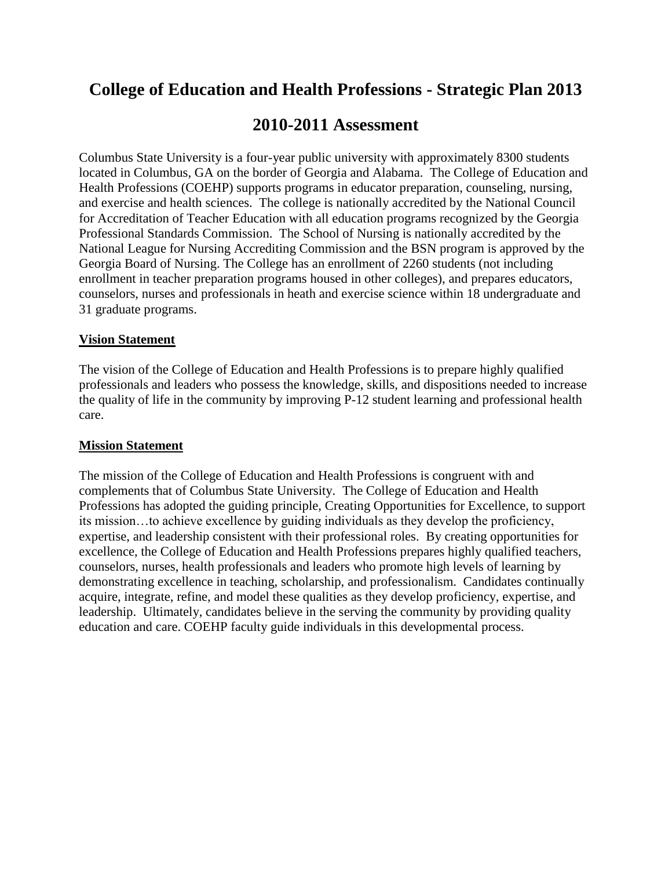# **College of Education and Health Professions - Strategic Plan 2013**

# **2010-2011 Assessment**

Columbus State University is a four-year public university with approximately 8300 students located in Columbus, GA on the border of Georgia and Alabama. The College of Education and Health Professions (COEHP) supports programs in educator preparation, counseling, nursing, and exercise and health sciences. The college is nationally accredited by the National Council for Accreditation of Teacher Education with all education programs recognized by the Georgia Professional Standards Commission. The School of Nursing is nationally accredited by the National League for Nursing Accrediting Commission and the BSN program is approved by the Georgia Board of Nursing. The College has an enrollment of 2260 students (not including enrollment in teacher preparation programs housed in other colleges), and prepares educators, counselors, nurses and professionals in heath and exercise science within 18 undergraduate and 31 graduate programs.

### **Vision Statement**

The vision of the College of Education and Health Professions is to prepare highly qualified professionals and leaders who possess the knowledge, skills, and dispositions needed to increase the quality of life in the community by improving P-12 student learning and professional health care.

#### **Mission Statement**

The mission of the College of Education and Health Professions is congruent with and complements that of Columbus State University. The College of Education and Health Professions has adopted the guiding principle, Creating Opportunities for Excellence, to support its mission…to achieve excellence by guiding individuals as they develop the proficiency, expertise, and leadership consistent with their professional roles. By creating opportunities for excellence, the College of Education and Health Professions prepares highly qualified teachers, counselors, nurses, health professionals and leaders who promote high levels of learning by demonstrating excellence in teaching, scholarship, and professionalism. Candidates continually acquire, integrate, refine, and model these qualities as they develop proficiency, expertise, and leadership. Ultimately, candidates believe in the serving the community by providing quality education and care. COEHP faculty guide individuals in this developmental process.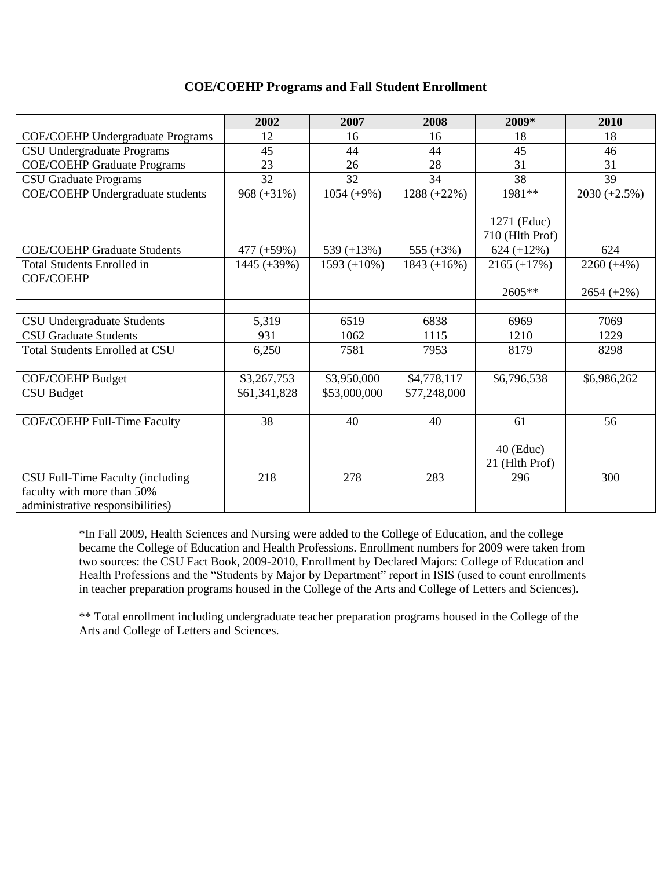#### **COE/COEHP Programs and Fall Student Enrollment**

|                                         | 2002           | 2007           | 2008          | 2009*                          | 2010           |
|-----------------------------------------|----------------|----------------|---------------|--------------------------------|----------------|
| <b>COE/COEHP Undergraduate Programs</b> | 12             | 16             | 16            | 18                             | 18             |
| CSU Undergraduate Programs              | 45             | 44             | 44            | 45                             | 46             |
| <b>COE/COEHP Graduate Programs</b>      | 23             | 26             | 28            | 31                             | 31             |
| <b>CSU Graduate Programs</b>            | 32             | 32             | 34            | 38                             | 39             |
| <b>COE/COEHP</b> Undergraduate students | $968 (+31\%)$  | $1054 (+9%)$   | $1288 (+22%)$ | 1981**                         | $2030 (+2.5%)$ |
|                                         |                |                |               | 1271 (Educ)<br>710 (Hlth Prof) |                |
| <b>COE/COEHP Graduate Students</b>      | $477 (+59%)$   | 539 $(+13%)$   | 555 $(+3%)$   | $624 (+12\%)$                  | 624            |
| <b>Total Students Enrolled in</b>       | $1445 (+39\%)$ | $1593 (+10\%)$ | $1843 (+16%)$ | $2165 (+17%)$                  | $2260 (+4\%)$  |
| <b>COE/COEHP</b>                        |                |                |               | $2605**$                       |                |
|                                         |                |                |               |                                | $2654 (+2\%)$  |
|                                         | 5,319          | 6519           | 6838          | 6969                           | 7069           |
| <b>CSU Undergraduate Students</b>       |                |                |               |                                |                |
| <b>CSU Graduate Students</b>            | 931            | 1062           | 1115          | 1210                           | 1229           |
| <b>Total Students Enrolled at CSU</b>   | 6,250          | 7581           | 7953          | 8179                           | 8298           |
|                                         |                |                |               |                                |                |
| <b>COE/COEHP Budget</b>                 | \$3,267,753    | \$3,950,000    | \$4,778,117   | \$6,796,538                    | \$6,986,262    |
| <b>CSU Budget</b>                       | \$61,341,828   | \$53,000,000   | \$77,248,000  |                                |                |
|                                         |                |                |               |                                |                |
| COE/COEHP Full-Time Faculty             | 38             | 40             | 40            | 61                             | 56             |
|                                         |                |                |               | $40$ (Educ)<br>21 (Hlth Prof)  |                |
| CSU Full-Time Faculty (including        | 218            | 278            | 283           | 296                            | 300            |
| faculty with more than 50%              |                |                |               |                                |                |
| administrative responsibilities)        |                |                |               |                                |                |

\*In Fall 2009, Health Sciences and Nursing were added to the College of Education, and the college became the College of Education and Health Professions. Enrollment numbers for 2009 were taken from two sources: the CSU Fact Book, 2009-2010, Enrollment by Declared Majors: College of Education and Health Professions and the "Students by Major by Department" report in ISIS (used to count enrollments in teacher preparation programs housed in the College of the Arts and College of Letters and Sciences).

\*\* Total enrollment including undergraduate teacher preparation programs housed in the College of the Arts and College of Letters and Sciences.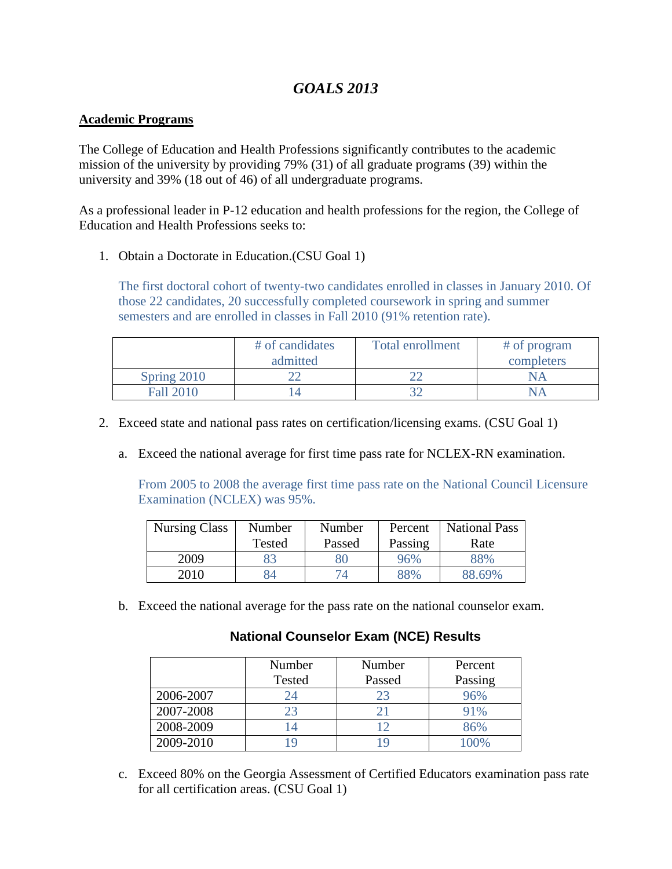# *GOALS 2013*

### **Academic Programs**

The College of Education and Health Professions significantly contributes to the academic mission of the university by providing 79% (31) of all graduate programs (39) within the university and 39% (18 out of 46) of all undergraduate programs.

As a professional leader in P-12 education and health professions for the region, the College of Education and Health Professions seeks to:

1. Obtain a Doctorate in Education.(CSU Goal 1)

The first doctoral cohort of twenty-two candidates enrolled in classes in January 2010. Of those 22 candidates, 20 successfully completed coursework in spring and summer semesters and are enrolled in classes in Fall 2010 (91% retention rate).

|                  | # of candidates<br>admitted | <b>Total enrollment</b> | # of program<br>completers |
|------------------|-----------------------------|-------------------------|----------------------------|
| Spring 2010      |                             |                         |                            |
| <b>Fall 2010</b> |                             |                         |                            |

- 2. Exceed state and national pass rates on certification/licensing exams. (CSU Goal 1)
	- a. Exceed the national average for first time pass rate for NCLEX-RN examination.

From 2005 to 2008 the average first time pass rate on the National Council Licensure Examination (NCLEX) was 95%.

| <b>Nursing Class</b> | Number | Number | Percent | <b>National Pass</b> |
|----------------------|--------|--------|---------|----------------------|
|                      | Tested | Passed | Passing | Rate                 |
| 2009                 | 83     |        | 96%     | 88%                  |
| 2010                 | 84     |        | 88%     | 88.69%               |

b. Exceed the national average for the pass rate on the national counselor exam.

# **National Counselor Exam (NCE) Results**

|           | Number        | Number | Percent             |
|-----------|---------------|--------|---------------------|
|           | <b>Tested</b> | Passed | Passing             |
| 2006-2007 | 24            |        | 96%                 |
| 2007-2008 | 23            |        | 91%                 |
| 2008-2009 |               |        | 86%                 |
| 2009-2010 |               |        | $\Omega$ $\Omega$ % |

c. Exceed 80% on the Georgia Assessment of Certified Educators examination pass rate for all certification areas. (CSU Goal 1)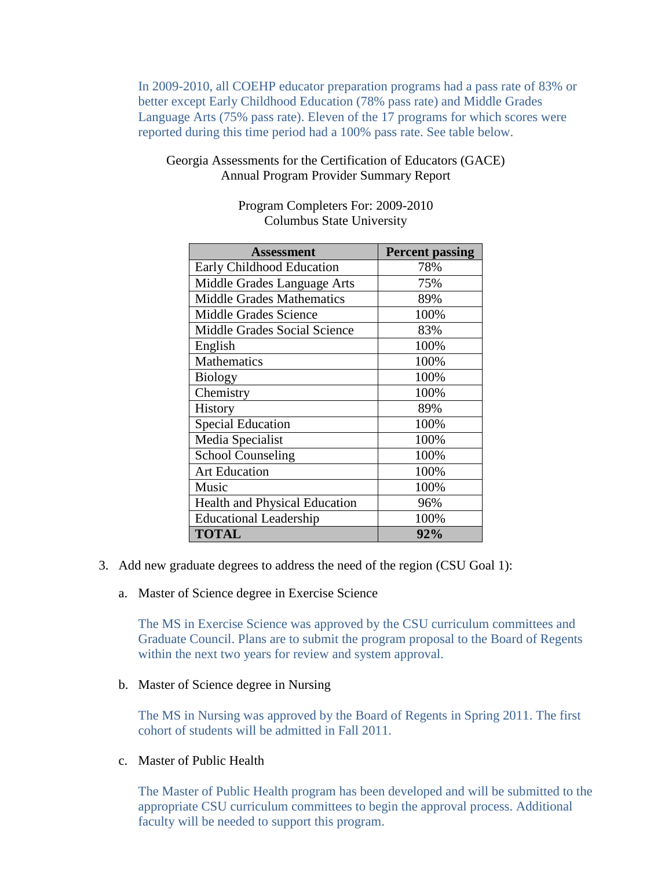In 2009-2010, all COEHP educator preparation programs had a pass rate of 83% or better except Early Childhood Education (78% pass rate) and Middle Grades Language Arts (75% pass rate). Eleven of the 17 programs for which scores were reported during this time period had a 100% pass rate. See table below.

### Georgia Assessments for the Certification of Educators (GACE) Annual Program Provider Summary Report

| <b>Assessment</b>                    | <b>Percent passing</b> |
|--------------------------------------|------------------------|
| Early Childhood Education            | 78%                    |
| Middle Grades Language Arts          | 75%                    |
| <b>Middle Grades Mathematics</b>     | 89%                    |
| <b>Middle Grades Science</b>         | 100%                   |
| Middle Grades Social Science         | 83%                    |
| English                              | 100%                   |
| Mathematics                          | 100%                   |
| <b>Biology</b>                       | 100%                   |
| Chemistry                            | 100%                   |
| History                              | 89%                    |
| <b>Special Education</b>             | 100%                   |
| Media Specialist                     | 100%                   |
| <b>School Counseling</b>             | 100%                   |
| <b>Art Education</b>                 | 100%                   |
| Music                                | 100%                   |
| <b>Health and Physical Education</b> | 96%                    |
| <b>Educational Leadership</b>        | 100%                   |
| <b>TOTAL</b>                         | 92%                    |

Program Completers For: 2009-2010 Columbus State University

- 3. Add new graduate degrees to address the need of the region (CSU Goal 1):
	- a. Master of Science degree in Exercise Science

The MS in Exercise Science was approved by the CSU curriculum committees and Graduate Council. Plans are to submit the program proposal to the Board of Regents within the next two years for review and system approval.

b. Master of Science degree in Nursing

The MS in Nursing was approved by the Board of Regents in Spring 2011. The first cohort of students will be admitted in Fall 2011.

c. Master of Public Health

The Master of Public Health program has been developed and will be submitted to the appropriate CSU curriculum committees to begin the approval process. Additional faculty will be needed to support this program.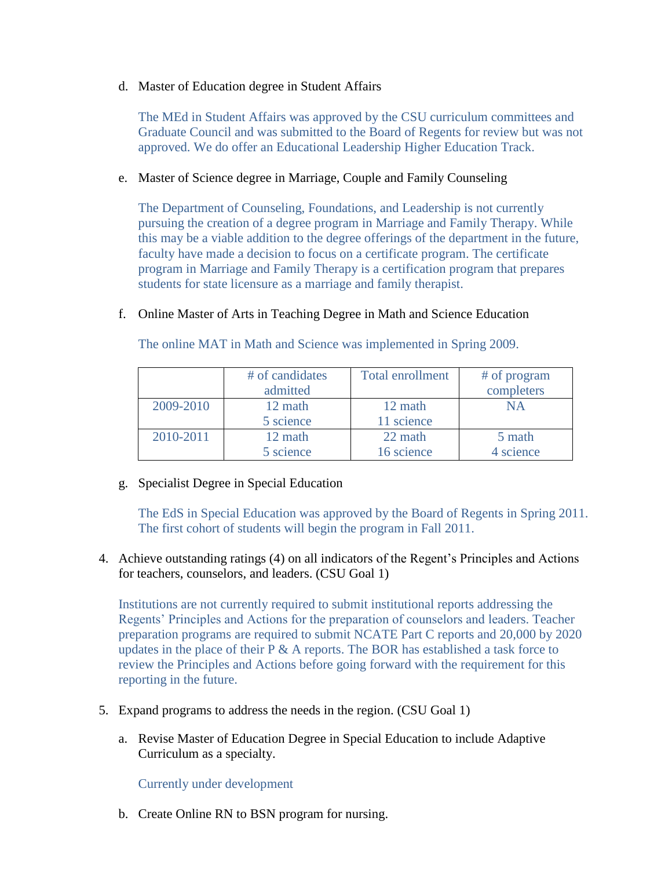d. Master of Education degree in Student Affairs

The MEd in Student Affairs was approved by the CSU curriculum committees and Graduate Council and was submitted to the Board of Regents for review but was not approved. We do offer an Educational Leadership Higher Education Track.

#### e. Master of Science degree in Marriage, Couple and Family Counseling

The Department of Counseling, Foundations, and Leadership is not currently pursuing the creation of a degree program in Marriage and Family Therapy. While this may be a viable addition to the degree offerings of the department in the future, faculty have made a decision to focus on a certificate program. The certificate program in Marriage and Family Therapy is a certification program that prepares students for state licensure as a marriage and family therapist.

#### f. Online Master of Arts in Teaching Degree in Math and Science Education

The online MAT in Math and Science was implemented in Spring 2009.

|           | # of candidates | <b>Total enrollment</b> | # of program |
|-----------|-----------------|-------------------------|--------------|
|           | admitted        |                         | completers   |
| 2009-2010 | 12 math         | 12 math                 | NΑ           |
|           | 5 science       | 11 science              |              |
| 2010-2011 | 12 math         | 22 math                 | 5 math       |
|           | 5 science       | 16 science              | 4 science    |

g. Specialist Degree in Special Education

The EdS in Special Education was approved by the Board of Regents in Spring 2011. The first cohort of students will begin the program in Fall 2011.

4. Achieve outstanding ratings (4) on all indicators of the Regent's Principles and Actions for teachers, counselors, and leaders. (CSU Goal 1)

Institutions are not currently required to submit institutional reports addressing the Regents' Principles and Actions for the preparation of counselors and leaders. Teacher preparation programs are required to submit NCATE Part C reports and 20,000 by 2020 updates in the place of their  $P \& A$  reports. The BOR has established a task force to review the Principles and Actions before going forward with the requirement for this reporting in the future.

- 5. Expand programs to address the needs in the region. (CSU Goal 1)
	- a. Revise Master of Education Degree in Special Education to include Adaptive Curriculum as a specialty.

Currently under development

b. Create Online RN to BSN program for nursing.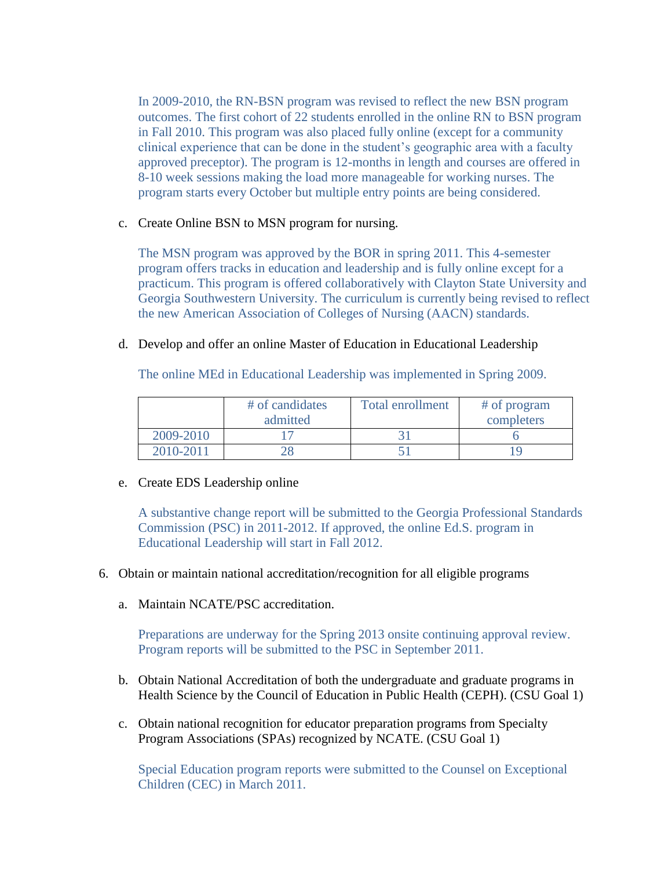In 2009-2010, the RN-BSN program was revised to reflect the new BSN program outcomes. The first cohort of 22 students enrolled in the online RN to BSN program in Fall 2010. This program was also placed fully online (except for a community clinical experience that can be done in the student's geographic area with a faculty approved preceptor). The program is 12-months in length and courses are offered in 8-10 week sessions making the load more manageable for working nurses. The program starts every October but multiple entry points are being considered.

#### c. Create Online BSN to MSN program for nursing.

The MSN program was approved by the BOR in spring 2011. This 4-semester program offers tracks in education and leadership and is fully online except for a practicum. This program is offered collaboratively with Clayton State University and Georgia Southwestern University. The curriculum is currently being revised to reflect the new American Association of Colleges of Nursing (AACN) standards.

### d. Develop and offer an online Master of Education in Educational Leadership

The online MEd in Educational Leadership was implemented in Spring 2009.

|           | # of candidates | Total enrollment | # of program |
|-----------|-----------------|------------------|--------------|
|           | admitted        |                  | completers   |
| 2009-2010 |                 |                  |              |
| 2010-2011 |                 |                  |              |

#### e. Create EDS Leadership online

A substantive change report will be submitted to the Georgia Professional Standards Commission (PSC) in 2011-2012. If approved, the online Ed.S. program in Educational Leadership will start in Fall 2012.

- 6. Obtain or maintain national accreditation/recognition for all eligible programs
	- a. Maintain NCATE/PSC accreditation.

Preparations are underway for the Spring 2013 onsite continuing approval review. Program reports will be submitted to the PSC in September 2011.

- b. Obtain National Accreditation of both the undergraduate and graduate programs in Health Science by the Council of Education in Public Health (CEPH). (CSU Goal 1)
- c. Obtain national recognition for educator preparation programs from Specialty Program Associations (SPAs) recognized by NCATE. (CSU Goal 1)

Special Education program reports were submitted to the Counsel on Exceptional Children (CEC) in March 2011.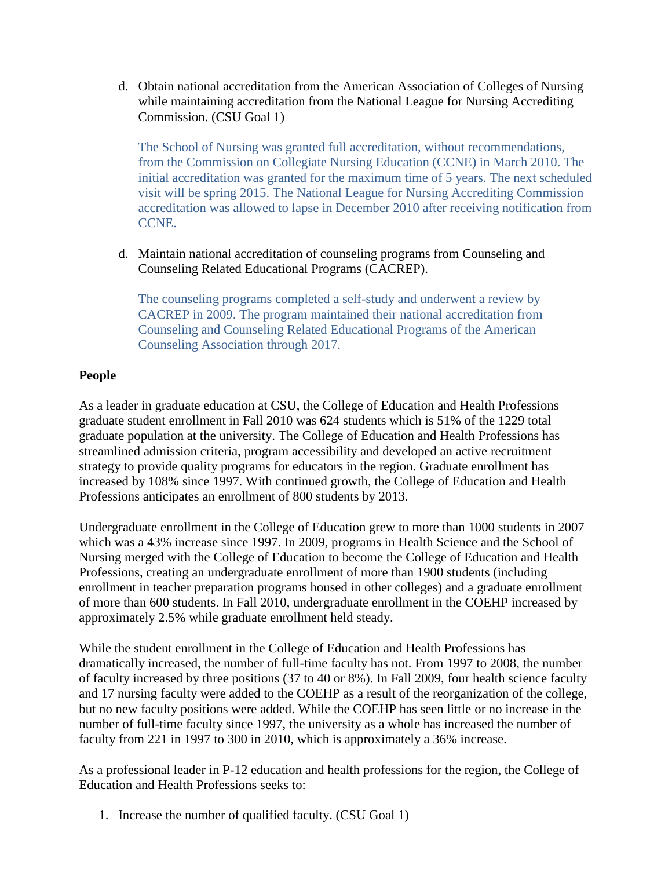d. Obtain national accreditation from the American Association of Colleges of Nursing while maintaining accreditation from the National League for Nursing Accrediting Commission. (CSU Goal 1)

The School of Nursing was granted full accreditation, without recommendations, from the Commission on Collegiate Nursing Education (CCNE) in March 2010. The initial accreditation was granted for the maximum time of 5 years. The next scheduled visit will be spring 2015. The National League for Nursing Accrediting Commission accreditation was allowed to lapse in December 2010 after receiving notification from CCNE.

d. Maintain national accreditation of counseling programs from Counseling and Counseling Related Educational Programs (CACREP).

The counseling programs completed a self-study and underwent a review by CACREP in 2009. The program maintained their national accreditation from Counseling and Counseling Related Educational Programs of the American Counseling Association through 2017.

# **People**

As a leader in graduate education at CSU, the College of Education and Health Professions graduate student enrollment in Fall 2010 was 624 students which is 51% of the 1229 total graduate population at the university. The College of Education and Health Professions has streamlined admission criteria, program accessibility and developed an active recruitment strategy to provide quality programs for educators in the region. Graduate enrollment has increased by 108% since 1997. With continued growth, the College of Education and Health Professions anticipates an enrollment of 800 students by 2013.

Undergraduate enrollment in the College of Education grew to more than 1000 students in 2007 which was a 43% increase since 1997. In 2009, programs in Health Science and the School of Nursing merged with the College of Education to become the College of Education and Health Professions, creating an undergraduate enrollment of more than 1900 students (including enrollment in teacher preparation programs housed in other colleges) and a graduate enrollment of more than 600 students. In Fall 2010, undergraduate enrollment in the COEHP increased by approximately 2.5% while graduate enrollment held steady.

While the student enrollment in the College of Education and Health Professions has dramatically increased, the number of full-time faculty has not. From 1997 to 2008, the number of faculty increased by three positions (37 to 40 or 8%). In Fall 2009, four health science faculty and 17 nursing faculty were added to the COEHP as a result of the reorganization of the college, but no new faculty positions were added. While the COEHP has seen little or no increase in the number of full-time faculty since 1997, the university as a whole has increased the number of faculty from 221 in 1997 to 300 in 2010, which is approximately a 36% increase.

As a professional leader in P-12 education and health professions for the region, the College of Education and Health Professions seeks to:

1. Increase the number of qualified faculty. (CSU Goal 1)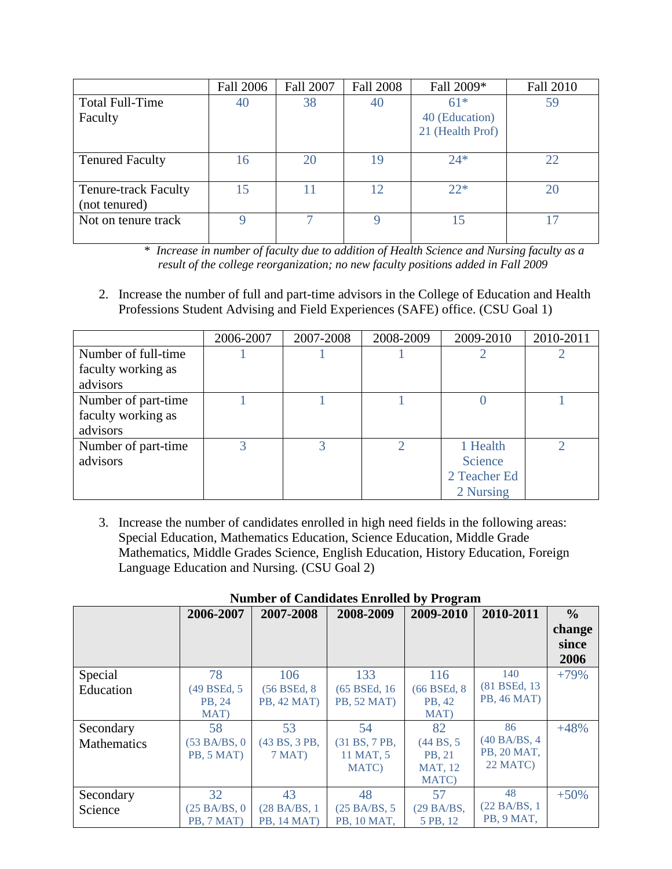|                             | <b>Fall 2006</b> | <b>Fall 2007</b> | <b>Fall 2008</b> | Fall 2009*       | <b>Fall 2010</b> |
|-----------------------------|------------------|------------------|------------------|------------------|------------------|
| <b>Total Full-Time</b>      | 40               | 38               | 40               | $61*$            | 59               |
| Faculty                     |                  |                  |                  | 40 (Education)   |                  |
|                             |                  |                  |                  | 21 (Health Prof) |                  |
|                             |                  |                  |                  |                  |                  |
| <b>Tenured Faculty</b>      | 16               | 20               | 19               | $24*$            | 22               |
|                             |                  |                  |                  |                  |                  |
| <b>Tenure-track Faculty</b> | 15               |                  | 12               | $22*$            | 20               |
| (not tenured)               |                  |                  |                  |                  |                  |
| Not on tenure track         | Q                |                  |                  | 15               |                  |
|                             |                  |                  |                  |                  |                  |

 \* *Increase in number of faculty due to addition of Health Science and Nursing faculty as a result of the college reorganization; no new faculty positions added in Fall 2009*

2. Increase the number of full and part-time advisors in the College of Education and Health Professions Student Advising and Field Experiences (SAFE) office. (CSU Goal 1)

|                     | 2006-2007 | 2007-2008 | 2008-2009 | 2009-2010    | 2010-2011 |
|---------------------|-----------|-----------|-----------|--------------|-----------|
| Number of full-time |           |           |           |              |           |
| faculty working as  |           |           |           |              |           |
| advisors            |           |           |           |              |           |
| Number of part-time |           |           |           |              |           |
| faculty working as  |           |           |           |              |           |
| advisors            |           |           |           |              |           |
| Number of part-time | 3         |           | っ         | 1 Health     |           |
| advisors            |           |           |           | Science      |           |
|                     |           |           |           | 2 Teacher Ed |           |
|                     |           |           |           | 2 Nursing    |           |

3. Increase the number of candidates enrolled in high need fields in the following areas: Special Education, Mathematics Education, Science Education, Middle Grade Mathematics, Middle Grades Science, English Education, History Education, Foreign Language Education and Nursing. (CSU Goal 2)

|                    |                                |                         | rumoci of Canunuates Embrica by Frogram |                         |                    |               |
|--------------------|--------------------------------|-------------------------|-----------------------------------------|-------------------------|--------------------|---------------|
|                    | 2006-2007                      | 2007-2008               | 2008-2009                               | 2009-2010               | 2010-2011          | $\frac{0}{0}$ |
|                    |                                |                         |                                         |                         |                    | change        |
|                    |                                |                         |                                         |                         |                    | since         |
|                    |                                |                         |                                         |                         |                    | 2006          |
| Special            | 78                             | 106                     | 133                                     | 116                     | 140                | $+79%$        |
| Education          | (49 BSEd, 5)                   | (56 BSEd, 8)            | (65 BSEd, 16)                           | (66 BSEd, 8)            | (81 BSEd, 13)      |               |
|                    | PB. 24                         | PB, 42 MAT)             | <b>PB, 52 MAT)</b>                      | PB, 42                  | <b>PB, 46 MAT)</b> |               |
|                    | MAT)                           |                         |                                         | MAT)                    |                    |               |
| Secondary          | 58                             | 53                      | 54                                      | 82                      | 86                 | $+48%$        |
| <b>Mathematics</b> | (53 BA/BS, 0)                  | (43 BS, 3 PB,           | (31 B S, 7 P B,                         | (44 B <sub>S</sub> , 5) | (40 BA/BS, 4)      |               |
|                    | PB, 5 MAT)                     | 7 MAT)                  | 11 MAT, 5                               | PB. 21                  | PB, 20 MAT,        |               |
|                    |                                |                         | MATC)                                   | <b>MAT, 12</b>          | 22 MATC)           |               |
|                    |                                |                         |                                         | MATC)                   |                    |               |
| Secondary          | 32                             | 43                      | 48                                      | 57                      | 48                 | $+50%$        |
| $S_{cipnca}$       | $(25 \text{ RA} / \text{RS}$ 0 | (28 B <sub>A</sub> /RS) | $(25 \text{ RA} / \text{RS}$ 5          | $(29$ RA/RS             | (22 BA/BS, 1)      |               |

(28 BA/BS, 1 PB, 14 MAT)

Science

(25 BA/BS, 0 PB, 7 MAT)

**Number of Candidates Enrolled by Program**

(25 BA/BS, 5 PB, 10 MAT,

(29 BA/BS, 5 PB, 12

PB, 9 MAT,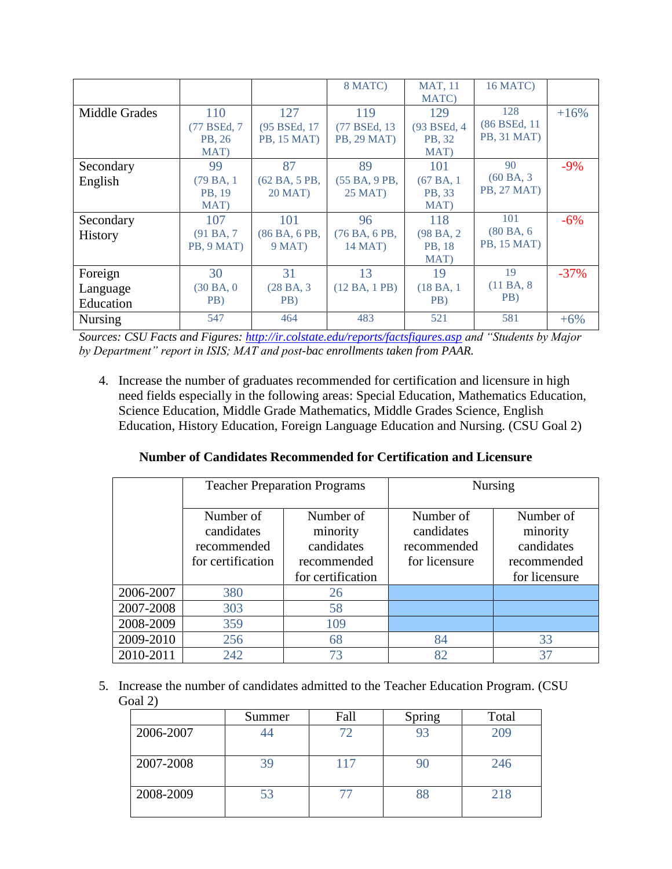|                |              |                    | 8 MATC)            | <b>MAT, 11</b> | 16 MATC)           |        |
|----------------|--------------|--------------------|--------------------|----------------|--------------------|--------|
|                |              |                    |                    | MATC)          |                    |        |
| Middle Grades  | 110          | 127                | 119                | 129            | 128                | $+16%$ |
|                | (77 BSEd, 7) | (95 BSEd, 17)      | (77 BSEd, 13)      | (93 BSEd, 4    | (86 BSEd, 11)      |        |
|                | PB, 26       | <b>PB, 15 MAT)</b> | <b>PB, 29 MAT)</b> | PB, 32         | <b>PB, 31 MAT)</b> |        |
|                | MAT)         |                    |                    | MAT)           |                    |        |
| Secondary      | 99           | 87                 | 89                 | 101            | 90                 | $-9\%$ |
| English        | (79 BA, 1    | (62 BA, 5 PB,      | (55 BA, 9 PB,      | (67BA, 1)      | (60BA, 3)          |        |
|                | PB, 19       | 20 MAT)            | 25 MAT)            | PB, 33         | <b>PB, 27 MAT)</b> |        |
|                | MAT)         |                    |                    | MAT)           |                    |        |
| Secondary      | 107          | 101                | 96                 | 118            | 101                | $-6\%$ |
| <b>History</b> | (91BA, 7)    | (86 BA, 6 PB,      | (76BA, 6PB,        | (98 BA, 2)     | (80BA, 6)          |        |
|                | PB, 9 MAT)   | $9$ MAT)           | 14 MAT)            | PB, 18         | <b>PB, 15 MAT)</b> |        |
|                |              |                    |                    | MAT)           |                    |        |
| Foreign        | 30           | 31                 | 13                 | 19             | 19                 | $-37%$ |
| Language       | (30BA, 0)    | (28 BA, 3)         | (12 BA, 1 PB)      | (18 BA, 1)     | (11BA, 8)          |        |
| Education      | PB)          | PB)                |                    | PB)            | PB)                |        |
| <b>Nursing</b> | 547          | 464                | 483                | 521            | 581                | $+6%$  |

*Sources: CSU Facts and Figures:<http://ir.colstate.edu/reports/factsfigures.asp> and "Students by Major by Department" report in ISIS; MAT and post-bac enrollments taken from PAAR.*

4. Increase the number of graduates recommended for certification and licensure in high need fields especially in the following areas: Special Education, Mathematics Education, Science Education, Middle Grade Mathematics, Middle Grades Science, English Education, History Education, Foreign Language Education and Nursing. (CSU Goal 2)

#### **Number of Candidates Recommended for Certification and Licensure**

|           |                                                             | <b>Teacher Preparation Programs</b>                                     | <b>Nursing</b>                                          |                                                                     |  |
|-----------|-------------------------------------------------------------|-------------------------------------------------------------------------|---------------------------------------------------------|---------------------------------------------------------------------|--|
|           | Number of<br>candidates<br>recommended<br>for certification | Number of<br>minority<br>candidates<br>recommended<br>for certification | Number of<br>candidates<br>recommended<br>for licensure | Number of<br>minority<br>candidates<br>recommended<br>for licensure |  |
| 2006-2007 | 380                                                         | 26                                                                      |                                                         |                                                                     |  |
| 2007-2008 | 303                                                         | 58                                                                      |                                                         |                                                                     |  |
| 2008-2009 | 359                                                         | 109                                                                     |                                                         |                                                                     |  |
| 2009-2010 | 256                                                         | 68                                                                      | 84                                                      | 33                                                                  |  |
| 2010-2011 | 242                                                         | 73                                                                      | 82                                                      | 37                                                                  |  |

5. Increase the number of candidates admitted to the Teacher Education Program. (CSU Goal 2)

|           | Summer | Fall | Spring | Total |
|-----------|--------|------|--------|-------|
| 2006-2007 |        |      |        | 209   |
| 2007-2008 | 39     | 117  |        | 246   |
| 2008-2009 | 53     |      |        | 218   |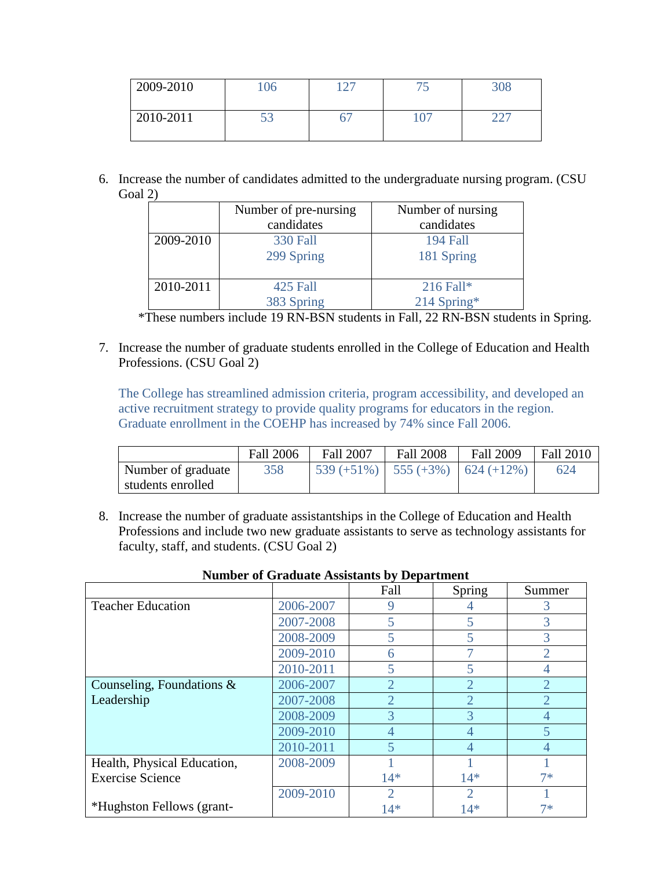| 2009-2010 | 106 | $\cap$<br>،  ے | ◡   | 308 |
|-----------|-----|----------------|-----|-----|
| 2010-2011 | ັບ  |                | 107 | __  |

6. Increase the number of candidates admitted to the undergraduate nursing program. (CSU Goal 2)

|           | Number of pre-nursing<br>candidates | Number of nursing<br>candidates |
|-----------|-------------------------------------|---------------------------------|
| 2009-2010 | <b>330 Fall</b>                     | 194 Fall                        |
|           | 299 Spring                          | 181 Spring                      |
| 2010-2011 | 425 Fall                            | $216$ Fall*                     |
|           | 383 Spring                          | $214$ Spring*                   |

\*These numbers include 19 RN-BSN students in Fall, 22 RN-BSN students in Spring.

7. Increase the number of graduate students enrolled in the College of Education and Health Professions. (CSU Goal 2)

The College has streamlined admission criteria, program accessibility, and developed an active recruitment strategy to provide quality programs for educators in the region. Graduate enrollment in the COEHP has increased by 74% since Fall 2006.

|                    | <b>Fall 2006</b> | <b>Fall 2007</b>                                            | <b>Fall 2008</b> | <b>Fall 2009</b> | <b>Fall 2010</b> |
|--------------------|------------------|-------------------------------------------------------------|------------------|------------------|------------------|
| Number of graduate | 358              | $\left( \frac{539}{+51\%} \right)$   555 (+3%)   624 (+12%) |                  |                  | 624              |
| students enrolled  |                  |                                                             |                  |                  |                  |

8. Increase the number of graduate assistantships in the College of Education and Health Professions and include two new graduate assistants to serve as technology assistants for faculty, staff, and students. (CSU Goal 2)

|                              |           | ັ<br>Fall                   | Spring         | Summer         |
|------------------------------|-----------|-----------------------------|----------------|----------------|
| <b>Teacher Education</b>     | 2006-2007 | 9                           |                | 3              |
|                              | 2007-2008 | 5                           |                | 3              |
|                              | 2008-2009 | 5                           |                | 3              |
|                              | 2009-2010 | 6                           |                | $\overline{2}$ |
|                              | 2010-2011 | 5                           |                | 4              |
| Counseling, Foundations $\&$ | 2006-2007 | $\overline{2}$              | 2              | $\overline{2}$ |
| Leadership                   | 2007-2008 | $\overline{2}$              | 2              | $\overline{2}$ |
|                              | 2008-2009 | 3                           | 3              | $\overline{4}$ |
|                              | 2009-2010 | 4                           | 4              | 5              |
|                              | 2010-2011 | 5                           | 4              | $\overline{4}$ |
| Health, Physical Education,  | 2008-2009 |                             |                |                |
| <b>Exercise Science</b>      |           | $14*$                       | $14*$          | $7*$           |
|                              | 2009-2010 | $\mathcal{D}_{\mathcal{L}}$ | $\overline{2}$ |                |
| *Hughston Fellows (grant-    |           | $14*$                       | $14*$          | 7*             |

#### **Number of Graduate Assistants by Department**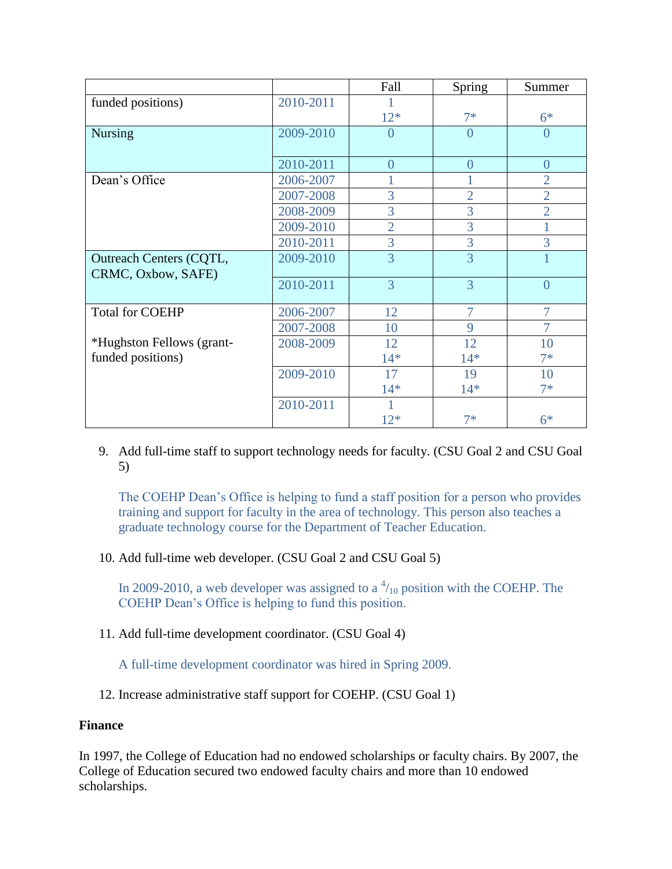|                                |           | Fall           | Spring         | Summer         |
|--------------------------------|-----------|----------------|----------------|----------------|
| funded positions)              | 2010-2011 |                |                |                |
|                                |           | $12*$          | $7*$           | $6*$           |
| <b>Nursing</b>                 | 2009-2010 | $\overline{0}$ | $\overline{0}$ | $\overline{0}$ |
|                                |           |                |                |                |
|                                | 2010-2011 | $\theta$       | $\overline{0}$ | $\overline{0}$ |
| Dean's Office                  | 2006-2007 |                |                | $\overline{2}$ |
|                                | 2007-2008 | 3              | $\overline{2}$ | $\overline{2}$ |
|                                | 2008-2009 | 3              | 3              | $\overline{2}$ |
|                                | 2009-2010 | $\overline{2}$ | 3              |                |
|                                | 2010-2011 | 3              | 3              | 3              |
| <b>Outreach Centers (CQTL,</b> | 2009-2010 | $\overline{3}$ | $\overline{3}$ |                |
| CRMC, Oxbow, SAFE)             |           |                |                |                |
|                                | 2010-2011 | $\overline{3}$ | $\overline{3}$ | $\overline{0}$ |
| <b>Total for COEHP</b>         | 2006-2007 | 12             | $\overline{7}$ | $\overline{7}$ |
|                                | 2007-2008 | 10             | 9              | 7              |
| *Hughston Fellows (grant-      | 2008-2009 | 12             | 12             | 10             |
| funded positions)              |           | $14*$          | $14*$          | $7*$           |
|                                | 2009-2010 | 17             | 19             | 10             |
|                                |           | $14*$          | $14*$          | $7*$           |
|                                | 2010-2011 |                |                |                |
|                                |           | $12*$          | $7*$           | $6*$           |

9. Add full-time staff to support technology needs for faculty. (CSU Goal 2 and CSU Goal 5)

The COEHP Dean's Office is helping to fund a staff position for a person who provides training and support for faculty in the area of technology. This person also teaches a graduate technology course for the Department of Teacher Education.

10. Add full-time web developer. (CSU Goal 2 and CSU Goal 5)

In 2009-2010, a web developer was assigned to a  $\frac{4}{10}$  position with the COEHP. The COEHP Dean's Office is helping to fund this position.

11. Add full-time development coordinator. (CSU Goal 4)

A full-time development coordinator was hired in Spring 2009.

12. Increase administrative staff support for COEHP. (CSU Goal 1)

# **Finance**

In 1997, the College of Education had no endowed scholarships or faculty chairs. By 2007, the College of Education secured two endowed faculty chairs and more than 10 endowed scholarships.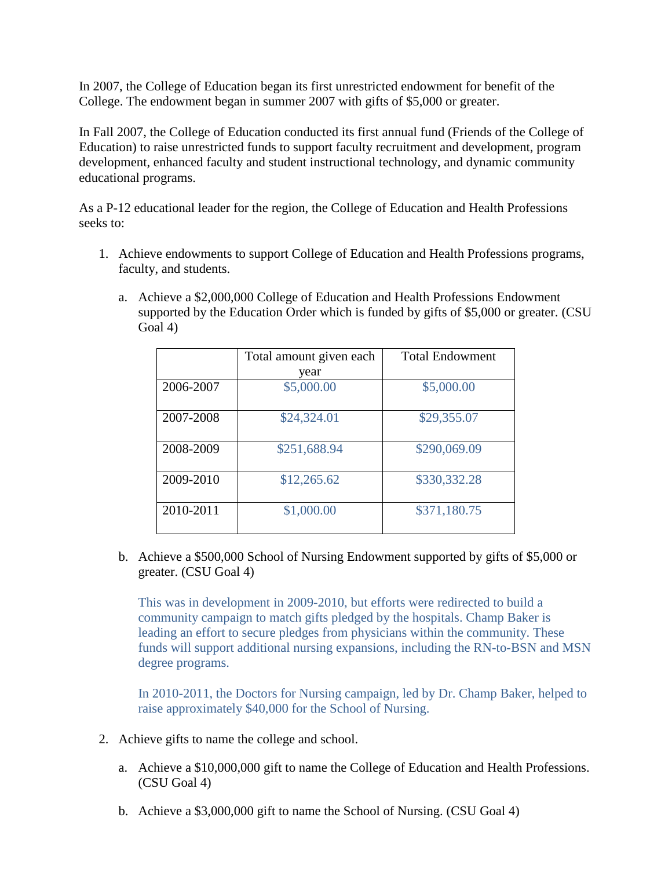In 2007, the College of Education began its first unrestricted endowment for benefit of the College. The endowment began in summer 2007 with gifts of \$5,000 or greater.

In Fall 2007, the College of Education conducted its first annual fund (Friends of the College of Education) to raise unrestricted funds to support faculty recruitment and development, program development, enhanced faculty and student instructional technology, and dynamic community educational programs.

As a P-12 educational leader for the region, the College of Education and Health Professions seeks to:

- 1. Achieve endowments to support College of Education and Health Professions programs, faculty, and students.
	- a. Achieve a \$2,000,000 College of Education and Health Professions Endowment supported by the Education Order which is funded by gifts of \$5,000 or greater. (CSU Goal 4)

|           | Total amount given each<br>year | <b>Total Endowment</b> |
|-----------|---------------------------------|------------------------|
| 2006-2007 | \$5,000.00                      | \$5,000.00             |
| 2007-2008 | \$24,324.01                     | \$29,355.07            |
| 2008-2009 | \$251,688.94                    | \$290,069.09           |
| 2009-2010 | \$12,265.62                     | \$330,332.28           |
| 2010-2011 | \$1,000.00                      | \$371,180.75           |

b. Achieve a \$500,000 School of Nursing Endowment supported by gifts of \$5,000 or greater. (CSU Goal 4)

This was in development in 2009-2010, but efforts were redirected to build a community campaign to match gifts pledged by the hospitals. Champ Baker is leading an effort to secure pledges from physicians within the community. These funds will support additional nursing expansions, including the RN-to-BSN and MSN degree programs.

In 2010-2011, the Doctors for Nursing campaign, led by Dr. Champ Baker, helped to raise approximately \$40,000 for the School of Nursing.

- 2. Achieve gifts to name the college and school.
	- a. Achieve a \$10,000,000 gift to name the College of Education and Health Professions. (CSU Goal 4)
	- b. Achieve a \$3,000,000 gift to name the School of Nursing. (CSU Goal 4)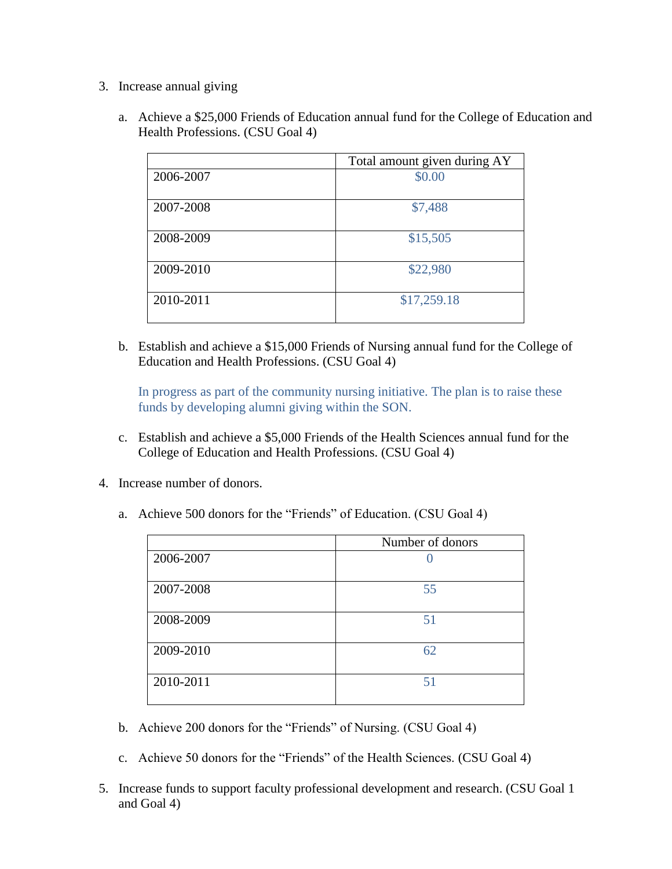- 3. Increase annual giving
	- a. Achieve a \$25,000 Friends of Education annual fund for the College of Education and Health Professions. (CSU Goal 4)

|           | Total amount given during AY |
|-----------|------------------------------|
| 2006-2007 | \$0.00                       |
| 2007-2008 | \$7,488                      |
| 2008-2009 | \$15,505                     |
| 2009-2010 | \$22,980                     |
| 2010-2011 | \$17,259.18                  |

b. Establish and achieve a \$15,000 Friends of Nursing annual fund for the College of Education and Health Professions. (CSU Goal 4)

In progress as part of the community nursing initiative. The plan is to raise these funds by developing alumni giving within the SON.

- c. Establish and achieve a \$5,000 Friends of the Health Sciences annual fund for the College of Education and Health Professions. (CSU Goal 4)
- 4. Increase number of donors.
	- a. Achieve 500 donors for the "Friends" of Education. (CSU Goal 4)

|           | Number of donors |
|-----------|------------------|
| 2006-2007 |                  |
| 2007-2008 | 55               |
| 2008-2009 | 51               |
| 2009-2010 | 62               |
| 2010-2011 | 51               |

- b. Achieve 200 donors for the "Friends" of Nursing. (CSU Goal 4)
- c. Achieve 50 donors for the "Friends" of the Health Sciences. (CSU Goal 4)
- 5. Increase funds to support faculty professional development and research. (CSU Goal 1 and Goal 4)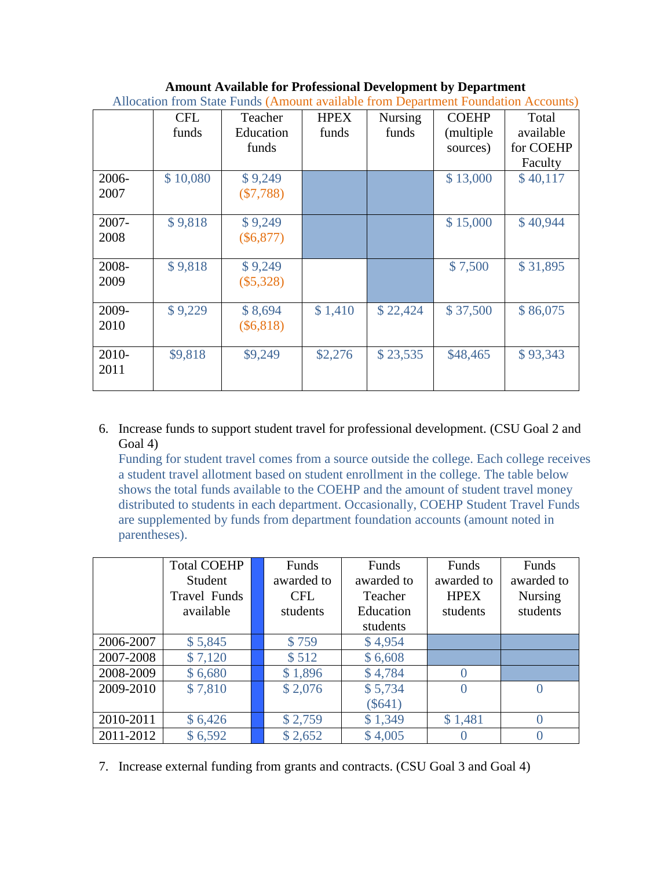### **Amount Available for Professional Development by Department**

|       | <b>CFL</b> | Teacher     | <b>HPEX</b> | <b>Nursing</b> | <b>COEHP</b> | Total     |
|-------|------------|-------------|-------------|----------------|--------------|-----------|
|       | funds      | Education   | funds       | funds          | (multiple)   | available |
|       |            | funds       |             |                | sources)     | for COEHP |
|       |            |             |             |                |              | Faculty   |
| 2006- | \$10,080   | \$9,249     |             |                | \$13,000     | \$40,117  |
| 2007  |            | $(\$7,788)$ |             |                |              |           |
|       |            |             |             |                |              |           |
| 2007- | \$9,818    | \$9,249     |             |                | \$15,000     | \$40,944  |
| 2008  |            | $(\$6,877)$ |             |                |              |           |
|       |            |             |             |                |              |           |
| 2008- | \$9,818    | \$9,249     |             |                | \$7,500      | \$31,895  |
| 2009  |            | $(\$5,328)$ |             |                |              |           |
|       |            |             |             |                |              |           |
| 2009- | \$9,229    | \$8,694     | \$1,410     | \$22,424       | \$37,500     | \$86,075  |
| 2010  |            | $(\$6,818)$ |             |                |              |           |
|       |            |             |             |                |              |           |
| 2010- | \$9,818    | \$9,249     | \$2,276     | \$23,535       | \$48,465     | \$93,343  |
| 2011  |            |             |             |                |              |           |
|       |            |             |             |                |              |           |

#### Allocation from State Funds (Amount available from Department Foundation Accounts)

### 6. Increase funds to support student travel for professional development. (CSU Goal 2 and Goal 4)

Funding for student travel comes from a source outside the college. Each college receives a student travel allotment based on student enrollment in the college. The table below shows the total funds available to the COEHP and the amount of student travel money distributed to students in each department. Occasionally, COEHP Student Travel Funds are supplemented by funds from department foundation accounts (amount noted in parentheses).

|           | <b>Total COEHP</b> | Funds      | Funds      | Funds       | Funds            |
|-----------|--------------------|------------|------------|-------------|------------------|
|           | Student            | awarded to | awarded to | awarded to  | awarded to       |
|           | Travel Funds       | <b>CFL</b> | Teacher    | <b>HPEX</b> | <b>Nursing</b>   |
|           | available          | students   | Education  | students    | students         |
|           |                    |            | students   |             |                  |
| 2006-2007 | \$5,845            | \$759      | \$4,954    |             |                  |
| 2007-2008 | \$7,120            | \$512      | \$6,608    |             |                  |
| 2008-2009 | \$6,680            | \$1,896    | \$4,784    | $\Omega$    |                  |
| 2009-2010 | \$7,810            | \$2,076    | \$5,734    | $\Omega$    | $\left($         |
|           |                    |            | $(\$641)$  |             |                  |
| 2010-2011 | \$6,426            | \$2,759    | \$1,349    | \$1,481     | $\left( \right)$ |
| 2011-2012 | \$6,592            | \$2,652    | \$4,005    |             |                  |

7. Increase external funding from grants and contracts. (CSU Goal 3 and Goal 4)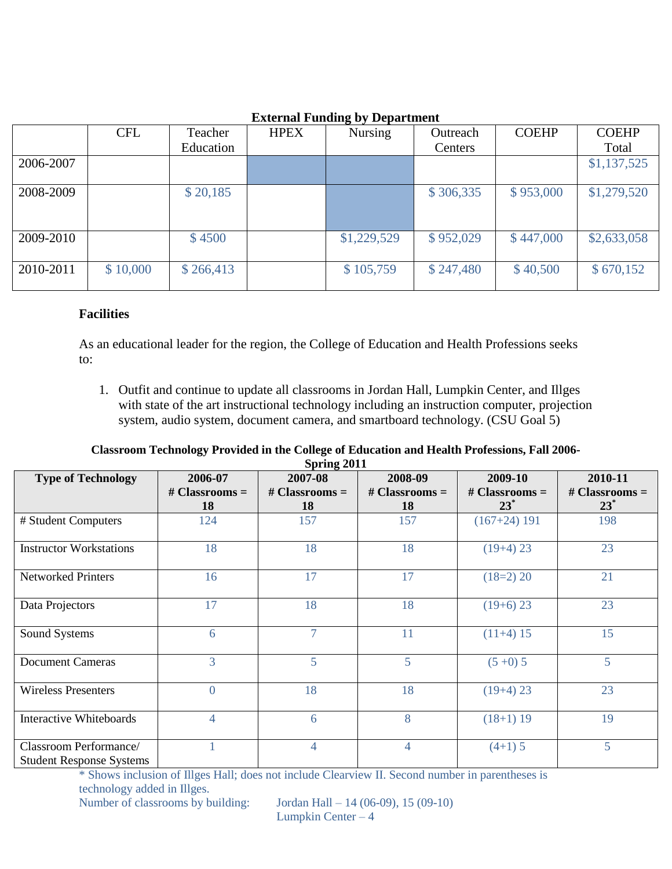|           | <b>CFL</b> | Teacher   | <b>HPEX</b> | . <del>. .</del><br><b>Nursing</b> | Outreach  | <b>COEHP</b> | <b>COEHP</b> |
|-----------|------------|-----------|-------------|------------------------------------|-----------|--------------|--------------|
|           |            | Education |             |                                    | Centers   |              | Total        |
| 2006-2007 |            |           |             |                                    |           |              | \$1,137,525  |
| 2008-2009 |            | \$20,185  |             |                                    | \$306,335 | \$953,000    | \$1,279,520  |
| 2009-2010 |            | \$4500    |             | \$1,229,529                        | \$952,029 | \$447,000    | \$2,633,058  |
| 2010-2011 | \$10,000   | \$266,413 |             | \$105,759                          | \$247,480 | \$40,500     | \$670,152    |

# **External Funding by Department**

### **Facilities**

As an educational leader for the region, the College of Education and Health Professions seeks to:

1. Outfit and continue to update all classrooms in Jordan Hall, Lumpkin Center, and Illges with state of the art instructional technology including an instruction computer, projection system, audio system, document camera, and smartboard technology. (CSU Goal 5)

#### **Classroom Technology Provided in the College of Education and Health Professions, Fall 2006- Spring 2011**

| $\beta$ pring $2011$                                      |                          |                  |                  |                  |                  |
|-----------------------------------------------------------|--------------------------|------------------|------------------|------------------|------------------|
| <b>Type of Technology</b>                                 | 2006-07                  | 2007-08          | 2008-09          | 2009-10          | 2010-11          |
|                                                           | $# Classrooms =$         | # Classrooms $=$ | # Classrooms $=$ | # Classrooms $=$ | # Classrooms $=$ |
|                                                           | 18                       | 18               | 18               | $23^*$           | $23^*$           |
| # Student Computers                                       | 124                      | 157              | 157              | $(167+24)$ 191   | 198              |
| <b>Instructor Workstations</b>                            | 18                       | 18               | 18               | $(19+4)$ 23      | 23               |
| <b>Networked Printers</b>                                 | 16                       | 17               | 17               | $(18=2)$ 20      | 21               |
| Data Projectors                                           | 17                       | 18               | 18               | $(19+6)$ 23      | 23               |
| Sound Systems                                             | 6                        | $\tau$           | 11               | $(11+4)$ 15      | 15               |
| <b>Document Cameras</b>                                   | $\overline{3}$           | 5                | 5                | $(5+0)$ 5        | 5 <sup>5</sup>   |
| <b>Wireless Presenters</b>                                | $\theta$                 | 18               | 18               | $(19+4)$ 23      | 23               |
| <b>Interactive Whiteboards</b>                            | $\overline{\mathcal{A}}$ | 6                | 8                | $(18+1)$ 19      | 19               |
| Classroom Performance/<br><b>Student Response Systems</b> |                          | $\overline{4}$   | 4                | $(4+1)$ 5        | 5                |

\* Shows inclusion of Illges Hall; does not include Clearview II. Second number in parentheses is technology added in Illges. Number of classrooms by building: Jordan Hall – 14 (06-09), 15 (09-10)

Lumpkin Center – 4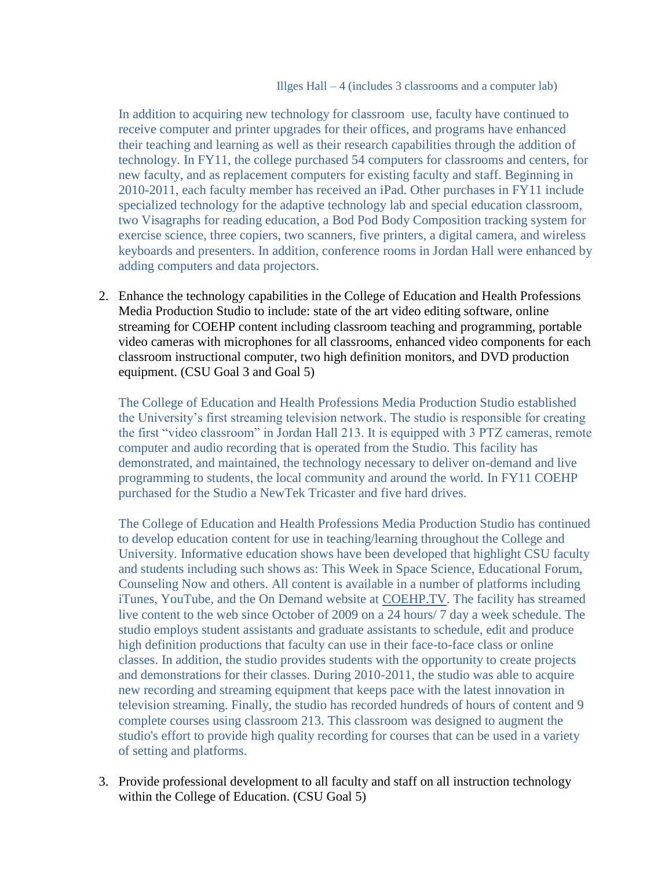In addition to acquiring new technology for classroom use, faculty have continued to receive computer and printer upgrades for their offices, and programs have enhanced their teaching and learning as well as their research capabilities through the addition of technology. In FY11, the college purchased 54 computers for classrooms and centers, for new faculty, and as replacement computers for existing faculty and staff. Beginning in 2010-2011, each faculty member has received an iPad. Other purchases in FY11 include specialized technology for the adaptive technology lab and special education classroom, two Visagraphs for reading education, a Bod Pod Body Composition tracking system for exercise science, three copiers, two scanners, five printers, a digital camera, and wireless keyboards and presenters. In addition, conference rooms in Jordan Hall were enhanced by adding computers and data projectors.

2. Enhance the technology capabilities in the College of Education and Health Professions Media Production Studio to include: state of the art video editing software, online streaming for COEHP content including classroom teaching and programming, portable video cameras with microphones for all classrooms, enhanced video components for each classroom instructional computer, two high definition monitors, and DVD production equipment. (CSU Goal 3 and Goal 5)

The College of Education and Health Professions Media Production Studio established the University's first streaming television network. The studio is responsible for creating the first "video classroom" in Jordan Hall 213. It is equipped with 3 PTZ cameras, remote computer and audio recording that is operated from the Studio. This facility has demonstrated, and maintained, the technology necessary to deliver on-demand and live programming to students, the local community and around the world. In FY11 COEHP purchased for the Studio a NewTek Tricaster and five hard drives.

The College of Education and Health Professions Media Production Studio has continued to develop education content for use in teaching/learning throughout the College and University. Informative education shows have been developed that highlight CSU faculty and students including such shows as: This Week in Space Science, Educational Forum, Counseling Now and others. All content is available in a number of platforms including iTunes, YouTube, and the On Demand website at [COEHP.TV.](http://coehp.tv/) The facility has streamed live content to the web since October of 2009 on a 24 hours/ 7 day a week schedule. The studio employs student assistants and graduate assistants to schedule, edit and produce high definition productions that faculty can use in their face-to-face class or online classes. In addition, the studio provides students with the opportunity to create projects and demonstrations for their classes. During 2010-2011, the studio was able to acquire new recording and streaming equipment that keeps pace with the latest innovation in television streaming. Finally, the studio has recorded hundreds of hours of content and 9 complete courses using classroom 213. This classroom was designed to augment the studio's effort to provide high quality recording for courses that can be used in a variety of setting and platforms.

3. Provide professional development to all faculty and staff on all instruction technology within the College of Education. (CSU Goal 5)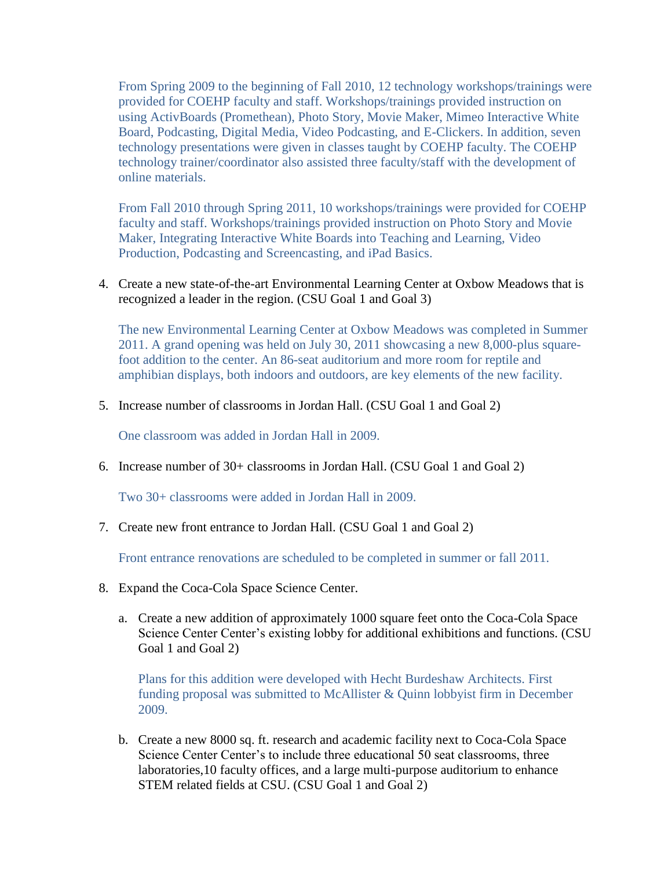From Spring 2009 to the beginning of Fall 2010, 12 technology workshops/trainings were provided for COEHP faculty and staff. Workshops/trainings provided instruction on using ActivBoards (Promethean), Photo Story, Movie Maker, Mimeo Interactive White Board, Podcasting, Digital Media, Video Podcasting, and E-Clickers. In addition, seven technology presentations were given in classes taught by COEHP faculty. The COEHP technology trainer/coordinator also assisted three faculty/staff with the development of online materials.

From Fall 2010 through Spring 2011, 10 workshops/trainings were provided for COEHP faculty and staff. Workshops/trainings provided instruction on Photo Story and Movie Maker, Integrating Interactive White Boards into Teaching and Learning, Video Production, Podcasting and Screencasting, and iPad Basics.

4. Create a new state-of-the-art Environmental Learning Center at Oxbow Meadows that is recognized a leader in the region. (CSU Goal 1 and Goal 3)

The new Environmental Learning Center at Oxbow Meadows was completed in Summer 2011. A grand opening was held on July 30, 2011 showcasing a new 8,000-plus squarefoot addition to the center. An 86-seat auditorium and more room for reptile and amphibian displays, both indoors and outdoors, are key elements of the new facility.

5. Increase number of classrooms in Jordan Hall. (CSU Goal 1 and Goal 2)

One classroom was added in Jordan Hall in 2009.

6. Increase number of 30+ classrooms in Jordan Hall. (CSU Goal 1 and Goal 2)

Two 30+ classrooms were added in Jordan Hall in 2009.

7. Create new front entrance to Jordan Hall. (CSU Goal 1 and Goal 2)

Front entrance renovations are scheduled to be completed in summer or fall 2011.

- 8. Expand the Coca-Cola Space Science Center.
	- a. Create a new addition of approximately 1000 square feet onto the Coca-Cola Space Science Center Center's existing lobby for additional exhibitions and functions. (CSU Goal 1 and Goal 2)

Plans for this addition were developed with Hecht Burdeshaw Architects. First funding proposal was submitted to McAllister & Quinn lobbyist firm in December 2009.

b. Create a new 8000 sq. ft. research and academic facility next to Coca-Cola Space Science Center Center's to include three educational 50 seat classrooms, three laboratories,10 faculty offices, and a large multi-purpose auditorium to enhance STEM related fields at CSU. (CSU Goal 1 and Goal 2)